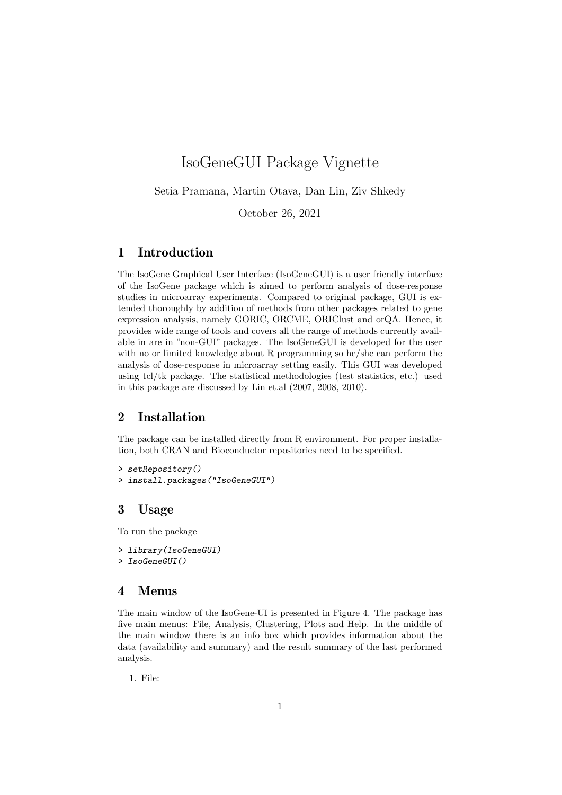# IsoGeneGUI Package Vignette

Setia Pramana, Martin Otava, Dan Lin, Ziv Shkedy

October 26, 2021

## 1 Introduction

The IsoGene Graphical User Interface (IsoGeneGUI) is a user friendly interface of the IsoGene package which is aimed to perform analysis of dose-response studies in microarray experiments. Compared to original package, GUI is extended thoroughly by addition of methods from other packages related to gene expression analysis, namely GORIC, ORCME, ORIClust and orQA. Hence, it provides wide range of tools and covers all the range of methods currently available in are in "non-GUI" packages. The IsoGeneGUI is developed for the user with no or limited knowledge about R programming so he/she can perform the analysis of dose-response in microarray setting easily. This GUI was developed using tcl/tk package. The statistical methodologies (test statistics, etc.) used in this package are discussed by Lin et.al (2007, 2008, 2010).

## 2 Installation

The package can be installed directly from R environment. For proper installation, both CRAN and Bioconductor repositories need to be specified.

```
> setRepository()
> install.packages("IsoGeneGUI")
```
## 3 Usage

To run the package

```
> library(IsoGeneGUI)
```
## > IsoGeneGUI()

### 4 Menus

The main window of the IsoGene-UI is presented in Figure 4. The package has five main menus: File, Analysis, Clustering, Plots and Help. In the middle of the main window there is an info box which provides information about the data (availability and summary) and the result summary of the last performed analysis.

1. File: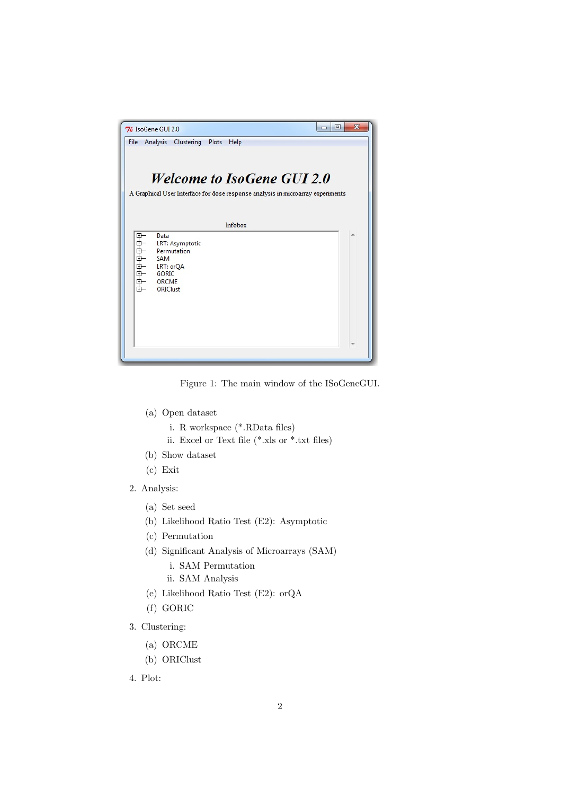| o l<br>7% IsoGene GUI 2.0                                                                                         | 同<br>$\mathbf{x}$ |  |  |  |  |
|-------------------------------------------------------------------------------------------------------------------|-------------------|--|--|--|--|
| File<br>Analysis Clustering<br>Plots<br>Help                                                                      |                   |  |  |  |  |
|                                                                                                                   |                   |  |  |  |  |
|                                                                                                                   |                   |  |  |  |  |
| <b>Welcome to IsoGene GUI 2.0</b>                                                                                 |                   |  |  |  |  |
| A Graphical User Interface for dose response analysis in microarray experiments                                   |                   |  |  |  |  |
|                                                                                                                   |                   |  |  |  |  |
| Infobox                                                                                                           |                   |  |  |  |  |
| Data<br>中中中中中中中<br>LRT: Asymptotic<br>Permutation<br>SAM<br>LRT: orQA<br><b>GORIC</b><br><b>ORCME</b><br>ORIClust |                   |  |  |  |  |
|                                                                                                                   |                   |  |  |  |  |

Figure 1: The main window of the ISoGeneGUI.

- (a) Open dataset
	- i. R workspace (\*.RData files)
	- ii. Excel or Text file (\*.xls or \*.txt files)
- (b) Show dataset
- (c) Exit
- 2. Analysis:
	- (a) Set seed
	- (b) Likelihood Ratio Test (E2): Asymptotic
	- (c) Permutation
	- (d) Significant Analysis of Microarrays (SAM)
		- i. SAM Permutation
		- ii. SAM Analysis
	- (e) Likelihood Ratio Test (E2): orQA
	- (f) GORIC
- 3. Clustering:
	- (a) ORCME
	- (b) ORIClust
- 4. Plot: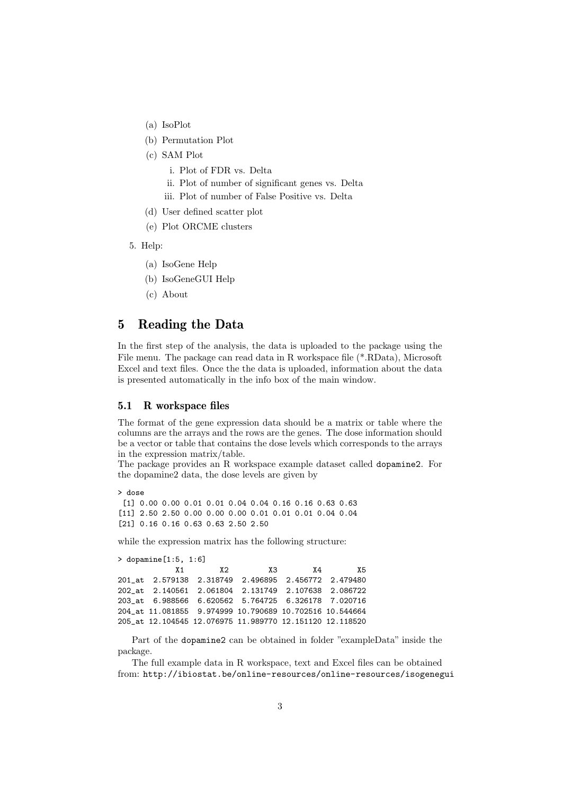- (a) IsoPlot
- (b) Permutation Plot
- (c) SAM Plot
	- i. Plot of FDR vs. Delta
	- ii. Plot of number of significant genes vs. Delta
	- iii. Plot of number of False Positive vs. Delta
- (d) User defined scatter plot
- (e) Plot ORCME clusters
- 5. Help:
	- (a) IsoGene Help
	- (b) IsoGeneGUI Help
	- (c) About

## 5 Reading the Data

In the first step of the analysis, the data is uploaded to the package using the File menu. The package can read data in R workspace file (\*.RData), Microsoft Excel and text files. Once the the data is uploaded, information about the data is presented automatically in the info box of the main window.

### 5.1 R workspace files

The format of the gene expression data should be a matrix or table where the columns are the arrays and the rows are the genes. The dose information should be a vector or table that contains the dose levels which corresponds to the arrays in the expression matrix/table.

The package provides an R workspace example dataset called dopamine2. For the dopamine2 data, the dose levels are given by

> dose [1] 0.00 0.00 0.01 0.01 0.04 0.04 0.16 0.16 0.63 0.63 [11] 2.50 2.50 0.00 0.00 0.00 0.01 0.01 0.01 0.04 0.04 [21] 0.16 0.16 0.63 0.63 2.50 2.50

while the expression matrix has the following structure:

```
> dopamine[1:5, 1:6]
           X1 X2 X3 X4 X5
201_at 2.579138 2.318749 2.496895 2.456772 2.479480
202_at 2.140561 2.061804 2.131749 2.107638 2.086722
203_at 6.988566 6.620562 5.764725 6.326178 7.020716
204_at 11.081855 9.974999 10.790689 10.702516 10.544664
205_at 12.104545 12.076975 11.989770 12.151120 12.118520
```
Part of the dopamine2 can be obtained in folder "exampleData" inside the package.

The full example data in R workspace, text and Excel files can be obtained from: http://ibiostat.be/online-resources/online-resources/isogenegui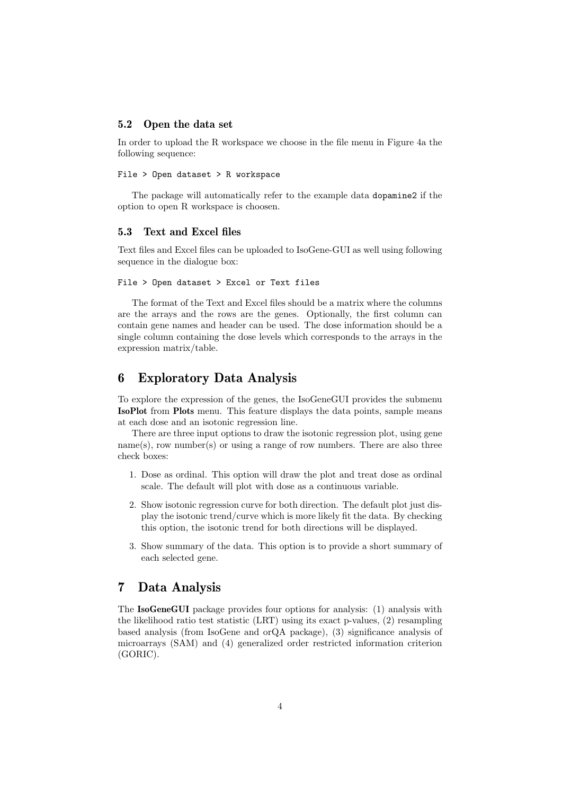#### 5.2 Open the data set

In order to upload the R workspace we choose in the file menu in Figure 4a the following sequence:

#### File > Open dataset > R workspace

The package will automatically refer to the example data dopamine2 if the option to open R workspace is choosen.

### 5.3 Text and Excel files

Text files and Excel files can be uploaded to IsoGene-GUI as well using following sequence in the dialogue box:

#### File > Open dataset > Excel or Text files

The format of the Text and Excel files should be a matrix where the columns are the arrays and the rows are the genes. Optionally, the first column can contain gene names and header can be used. The dose information should be a single column containing the dose levels which corresponds to the arrays in the expression matrix/table.

## 6 Exploratory Data Analysis

To explore the expression of the genes, the IsoGeneGUI provides the submenu IsoPlot from Plots menu. This feature displays the data points, sample means at each dose and an isotonic regression line.

There are three input options to draw the isotonic regression plot, using gene  $name(s)$ , row number(s) or using a range of row numbers. There are also three check boxes:

- 1. Dose as ordinal. This option will draw the plot and treat dose as ordinal scale. The default will plot with dose as a continuous variable.
- 2. Show isotonic regression curve for both direction. The default plot just display the isotonic trend/curve which is more likely fit the data. By checking this option, the isotonic trend for both directions will be displayed.
- 3. Show summary of the data. This option is to provide a short summary of each selected gene.

## 7 Data Analysis

The IsoGeneGUI package provides four options for analysis: (1) analysis with the likelihood ratio test statistic (LRT) using its exact p-values, (2) resampling based analysis (from IsoGene and orQA package), (3) significance analysis of microarrays (SAM) and (4) generalized order restricted information criterion (GORIC).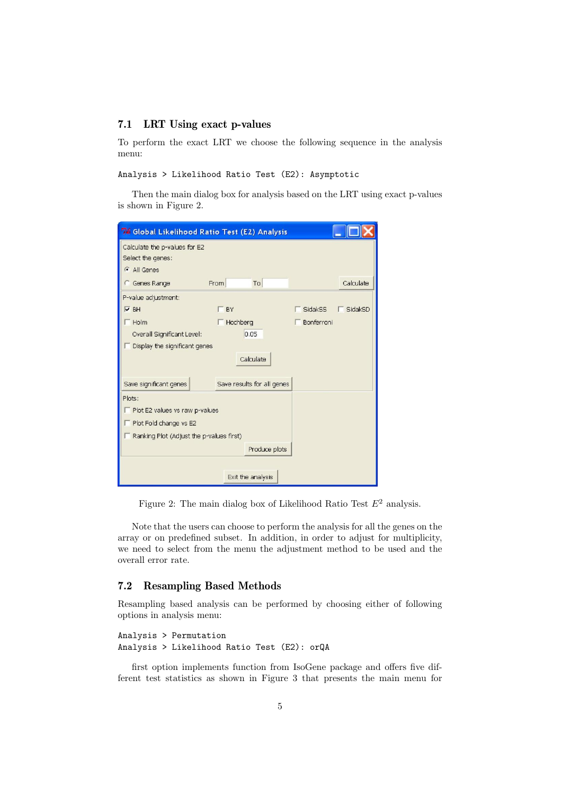### 7.1 LRT Using exact p-values

To perform the exact LRT we choose the following sequence in the analysis menu:

```
Analysis > Likelihood Ratio Test (E2): Asymptotic
```
Then the main dialog box for analysis based on the LRT using exact p-values is shown in Figure 2.

| 76 Global Likelihood Ratio Test (E2) Analysis                                    |                            |                   |                |           |  |  |
|----------------------------------------------------------------------------------|----------------------------|-------------------|----------------|-----------|--|--|
| Calculate the p-values for E2<br>Select the genes:<br>All Genes                  |                            |                   |                |           |  |  |
| <b>C</b> Genes Range                                                             | From                       | To                |                | Calculate |  |  |
| P-value adjustment:                                                              |                            |                   |                |           |  |  |
| $V$ BH                                                                           | BY                         |                   | <b>SidakSS</b> | SidakSD   |  |  |
| $\Box$ Holm<br>Overall Significant Level:<br>Display the significant genes<br>I. | Hochberg                   | 0.05<br>Calculate | Bonferroni     |           |  |  |
| Save significant genes                                                           | Save results for all genes |                   |                |           |  |  |
| Plots:                                                                           |                            |                   |                |           |  |  |
| $\Gamma$ Plot E2 values vs raw p-values                                          |                            |                   |                |           |  |  |
| $\Box$ Plot Fold change vs E2                                                    |                            |                   |                |           |  |  |
| $\Box$ Ranking Plot (Adjust the p-values first)                                  |                            |                   |                |           |  |  |
|                                                                                  |                            | Produce plots     |                |           |  |  |
| Exit the analysis                                                                |                            |                   |                |           |  |  |

Figure 2: The main dialog box of Likelihood Ratio Test  $E^2$  analysis.

Note that the users can choose to perform the analysis for all the genes on the array or on predefined subset. In addition, in order to adjust for multiplicity, we need to select from the menu the adjustment method to be used and the overall error rate.

### 7.2 Resampling Based Methods

Resampling based analysis can be performed by choosing either of following options in analysis menu:

```
Analysis > Permutation
Analysis > Likelihood Ratio Test (E2): orQA
```
first option implements function from IsoGene package and offers five different test statistics as shown in Figure 3 that presents the main menu for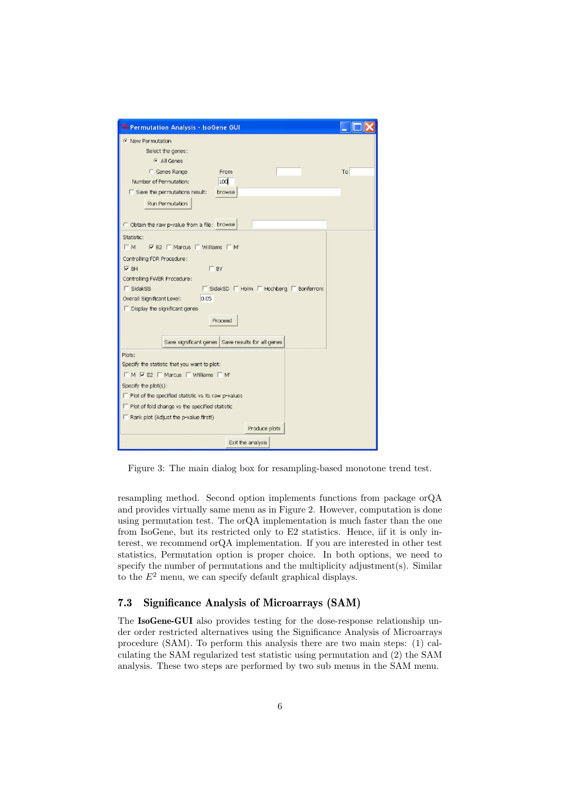

Figure 3: The main dialog box for resampling-based monotone trend test.

resampling method. Second option implements functions from package orQA and provides virtually same menu as in Figure 2. However, computation is done using permutation test. The orQA implementation is much faster than the one from IsoGene, but its restricted only to E2 statistics. Hence, iif it is only interest, we recommend orQA implementation. If you are interested in other test statistics, Permutation option is proper choice. In both options, we need to specify the number of permutations and the multiplicity adjustment(s). Similar to the  $E<sup>2</sup>$  menu, we can specify default graphical displays.

### 7.3 Significance Analysis of Microarrays (SAM)

The IsoGene-GUI also provides testing for the dose-response relationship under order restricted alternatives using the Significance Analysis of Microarrays procedure (SAM). To perform this analysis there are two main steps: (1) calculating the SAM regularized test statistic using permutation and (2) the SAM analysis. These two steps are performed by two sub menus in the SAM menu.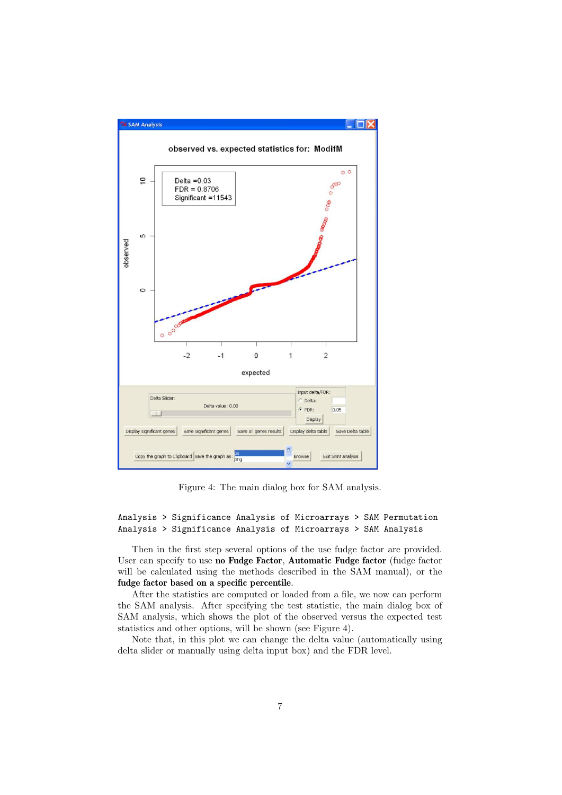

Figure 4: The main dialog box for SAM analysis.

Analysis > Significance Analysis of Microarrays > SAM Permutation Analysis > Significance Analysis of Microarrays > SAM Analysis

Then in the first step several options of the use fudge factor are provided. User can specify to use no Fudge Factor, Automatic Fudge factor (fudge factor will be calculated using the methods described in the SAM manual), or the fudge factor based on a specific percentile.

After the statistics are computed or loaded from a file, we now can perform the SAM analysis. After specifying the test statistic, the main dialog box of SAM analysis, which shows the plot of the observed versus the expected test statistics and other options, will be shown (see Figure 4).

Note that, in this plot we can change the delta value (automatically using delta slider or manually using delta input box) and the FDR level.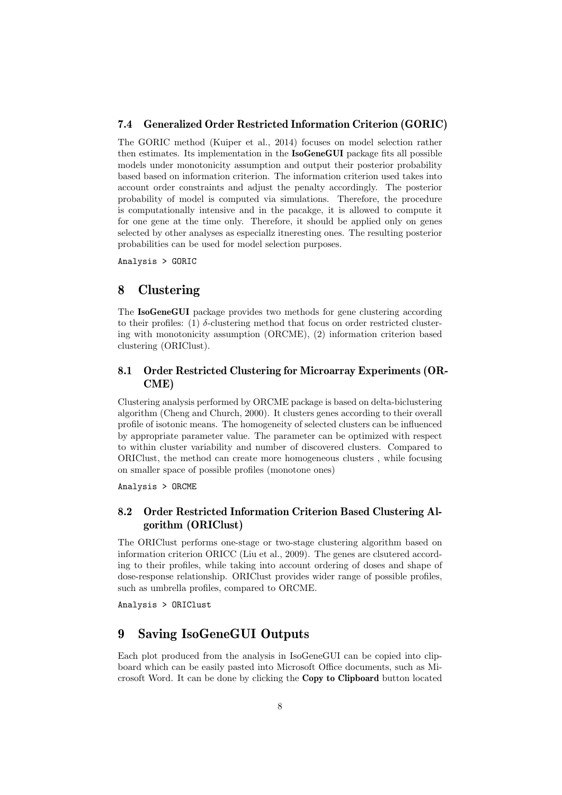### 7.4 Generalized Order Restricted Information Criterion (GORIC)

The GORIC method (Kuiper et al., 2014) focuses on model selection rather then estimates. Its implementation in the IsoGeneGUI package fits all possible models under monotonicity assumption and output their posterior probability based based on information criterion. The information criterion used takes into account order constraints and adjust the penalty accordingly. The posterior probability of model is computed via simulations. Therefore, the procedure is computationally intensive and in the pacakge, it is allowed to compute it for one gene at the time only. Therefore, it should be applied only on genes selected by other analyses as especiallz itneresting ones. The resulting posterior probabilities can be used for model selection purposes.

Analysis > GORIC

## 8 Clustering

The IsoGeneGUI package provides two methods for gene clustering according to their profiles: (1)  $\delta$ -clustering method that focus on order restricted clustering with monotonicity assumption (ORCME), (2) information criterion based clustering (ORIClust).

### 8.1 Order Restricted Clustering for Microarray Experiments (OR-CME)

Clustering analysis performed by ORCME package is based on delta-biclustering algorithm (Cheng and Church, 2000). It clusters genes according to their overall profile of isotonic means. The homogeneity of selected clusters can be influenced by appropriate parameter value. The parameter can be optimized with respect to within cluster variability and number of discovered clusters. Compared to ORIClust, the method can create more homogeneous clusters , while focusing on smaller space of possible profiles (monotone ones)

Analysis > ORCME

### 8.2 Order Restricted Information Criterion Based Clustering Algorithm (ORIClust)

The ORIClust performs one-stage or two-stage clustering algorithm based on information criterion ORICC (Liu et al., 2009). The genes are clsutered according to their profiles, while taking into account ordering of doses and shape of dose-response relationship. ORIClust provides wider range of possible profiles, such as umbrella profiles, compared to ORCME.

Analysis > ORIClust

## 9 Saving IsoGeneGUI Outputs

Each plot produced from the analysis in IsoGeneGUI can be copied into clipboard which can be easily pasted into Microsoft Office documents, such as Microsoft Word. It can be done by clicking the Copy to Clipboard button located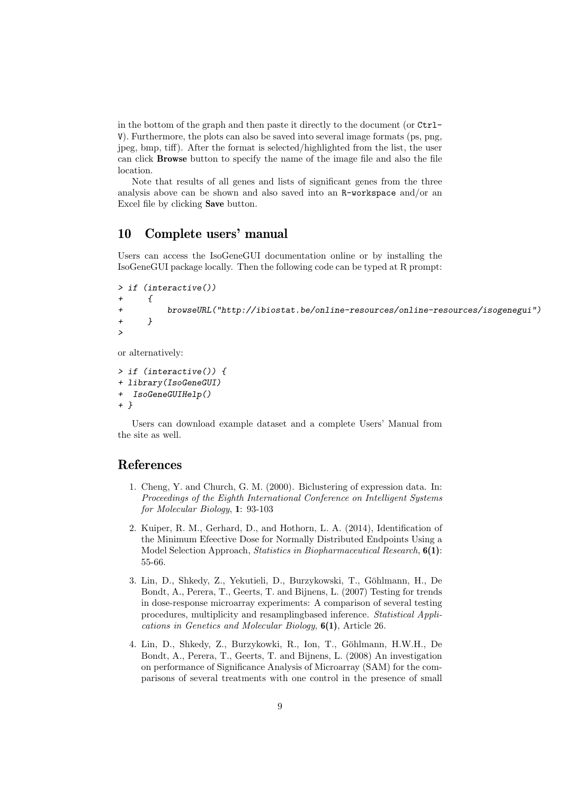in the bottom of the graph and then paste it directly to the document (or Ctrl-V). Furthermore, the plots can also be saved into several image formats (ps, png, jpeg, bmp, tiff). After the format is selected/highlighted from the list, the user can click Browse button to specify the name of the image file and also the file location.

Note that results of all genes and lists of significant genes from the three analysis above can be shown and also saved into an R-workspace and/or an Excel file by clicking Save button.

## 10 Complete users' manual

Users can access the IsoGeneGUI documentation online or by installing the IsoGeneGUI package locally. Then the following code can be typed at R prompt:

```
> if (interactive())
+ {
+ browseURL("http://ibiostat.be/online-resources/online-resources/isogenegui")
+ }
>
```
or alternatively:

```
> if (interactive()) {
+ library(IsoGeneGUI)
  + IsoGeneGUIHelp()
+ }
```
Users can download example dataset and a complete Users' Manual from the site as well.

## References

- 1. Cheng, Y. and Church, G. M. (2000). Biclustering of expression data. In: Proceedings of the Eighth International Conference on Intelligent Systems for Molecular Biology, 1: 93-103
- 2. Kuiper, R. M., Gerhard, D., and Hothorn, L. A. (2014), Identification of the Minimum Efeective Dose for Normally Distributed Endpoints Using a Model Selection Approach, Statistics in Biopharmaceutical Research, 6(1): 55-66.
- 3. Lin, D., Shkedy, Z., Yekutieli, D., Burzykowski, T., Göhlmann, H., De Bondt, A., Perera, T., Geerts, T. and Bijnens, L. (2007) Testing for trends in dose-response microarray experiments: A comparison of several testing procedures, multiplicity and resamplingbased inference. Statistical Applications in Genetics and Molecular Biology, 6(1), Article 26.
- 4. Lin, D., Shkedy, Z., Burzykowki, R., Ion, T., Göhlmann, H.W.H., De Bondt, A., Perera, T., Geerts, T. and Bijnens, L. (2008) An investigation on performance of Significance Analysis of Microarray (SAM) for the comparisons of several treatments with one control in the presence of small